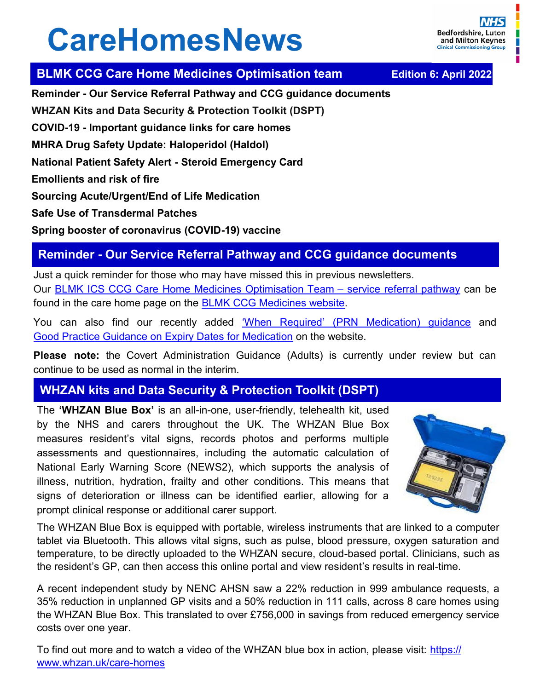# **CareHomesNews**

## **BLMK CCG Care Home Medicines Optimisation team Fdition 6: April 2022**

**Reminder - Our Service Referral Pathway and CCG guidance documents WHZAN Kits and Data Security & Protection Toolkit (DSPT)** 

**COVID-19 - Important guidance links for care homes** 

**MHRA Drug Safety Update: Haloperidol (Haldol)** 

**National Patient Safety Alert - Steroid Emergency Card**

**Emollients and risk of fire** 

**Sourcing Acute/Urgent/End of Life Medication** 

**Safe Use of Transdermal Patches** 

**Spring booster of coronavirus (COVID-19) vaccine** 

# **Reminder - Our Service Referral Pathway and CCG guidance documents**

Just a quick reminder for those who may have missed this in previous newsletters. Our [BLMK ICS CCG Care Home Medicines Optimisation Team –](https://medicines.blmkccg.nhs.uk/categories/care-homes/care-home-medicines-optimisation-team-mot-service-referral-pathway/) service referral pathway can be found in the care home page on the [BLMK CCG Medicines website.](https://medicines.blmkccg.nhs.uk/categories/care-homes/) 

You can also find our recently added 'When Required' [\(PRN Medication\) guidance](https://medicines.blmkccg.nhs.uk/guideline/when-required-prn-medication-guidance-for-care-homes/) and [Good Practice Guidance on Expiry Dates for Medication](https://medicines.blmkccg.nhs.uk/guideline/expiry-dates-for-medication/) on the website.

**Please note:** the Covert Administration Guidance (Adults) is currently under review but can continue to be used as normal in the interim.

# **WHZAN kits and Data Security & Protection Toolkit (DSPT)**

The **'WHZAN Blue Box'** is an all-in-one, user-friendly, telehealth kit, used by the NHS and carers throughout the UK. The WHZAN Blue Box measures resident's vital signs, records photos and performs multiple assessments and questionnaires, including the automatic calculation of National Early Warning Score (NEWS2), which supports the analysis of illness, nutrition, hydration, frailty and other conditions. This means that signs of deterioration or illness can be identified earlier, allowing for a prompt clinical response or additional carer support.



The WHZAN Blue Box is equipped with portable, wireless instruments that are linked to a computer tablet via Bluetooth. This allows vital signs, such as pulse, blood pressure, oxygen saturation and temperature, to be directly uploaded to the WHZAN secure, cloud-based portal. Clinicians, such as the resident's GP, can then access this online portal and view resident's results in real-time.

A recent independent study by NENC AHSN saw a 22% reduction in 999 ambulance requests, a 35% reduction in unplanned GP visits and a 50% reduction in 111 calls, across 8 care homes using the WHZAN Blue Box. This translated to over £756,000 in savings from reduced emergency service costs over one year.

To find out more and to watch a video of the WHZAN blue box in action, please visit: [https://](https://www.whzan.uk/care-homes) [www.whzan.uk/care](https://www.whzan.uk/care-homes)-homes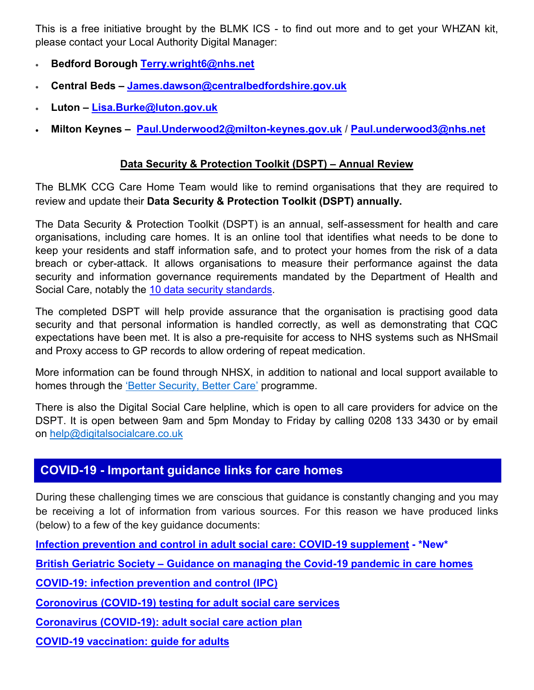This is a free initiative brought by the BLMK ICS - to find out more and to get your WHZAN kit, please contact your Local Authority Digital Manager:

- **Bedford Borough [Terry.wright6@nhs.net](mailto:Terry.wright6@nhs.net)**
- **Central Beds – [James.dawson@centralbedfordshire.gov.uk](mailto:James.dawson@centralbedfordshire.gov.uk)**
- **Luton – [Lisa.Burke@luton.gov.uk](mailto:Lisa.Burke@luton.gov.uk)**
- **Milton Keynes – [Paul.Underwood2@milton](mailto:Paul.Underwood2@milton-keynes.gov.uk)-keynes.gov.uk / [Paul.underwood3@nhs.net](mailto:Paul.underwood3@nhs.net)**

## **Data Security & Protection Toolkit (DSPT) – Annual Review**

The BLMK CCG Care Home Team would like to remind organisations that they are required to review and update their **Data Security & Protection Toolkit (DSPT) annually.** 

The Data Security & Protection Toolkit (DSPT) is an annual, self-assessment for health and care organisations, including care homes. It is an online tool that identifies what needs to be done to keep your residents and staff information safe, and to protect your homes from the risk of a data breach or cyber-attack. It allows organisations to measure their performance against the data security and information governance requirements mandated by the Department of Health and Social Care, notably the 10 data security standards.

The completed DSPT will help provide assurance that the organisation is practising good data security and that personal information is handled correctly, as well as demonstrating that CQC expectations have been met. It is also a pre-requisite for access to NHS systems such as NHSmail and Proxy access to GP records to allow ordering of repeat medication.

More information can be found through NHSX, in addition to national and local support available to homes through the '[Better Security, Better Care](https://www.digitalsocialcare.co.uk/better-security-better-care-support-and-changes-to-data-security-and-protection-toolkit/)' programme.

There is also the Digital Social Care helpline, which is open to all care providers for advice on the DSPT. It is open between 9am and 5pm Monday to Friday by calling 0208 133 3430 or by email on [help@digitalsocialcare.co.uk](mailto:help@digitalsocialcare.co.uk)

# **COVID-19 - Important guidance links for care homes**

During these challenging times we are conscious that guidance is constantly changing and you may be receiving a lot of information from various sources. For this reason we have produced links (below) to a few of the key guidance documents:

**[Infection prevention and control in adult social care: COVID](https://www.gov.uk/government/publications/infection-prevention-and-control-in-adult-social-care-covid-19-supplement)-19 supplement - \*New\***

**British Geriatric Society – [Guidance on managing the Covid](https://www.bgs.org.uk/resources/covid-19-managing-the-covid-19-pandemic-in-care-homes)-19 pandemic in care homes**

**COVID-[19: infection prevention and control \(IPC\)](https://www.gov.uk/government/publications/wuhan-novel-coronavirus-infection-prevention-and-control)**

**Coronovirus (COVID-[19\) testing for adult social care services](https://www.gov.uk/government/publications/coronavirus-covid-19-testing-for-adult-social-care-settings)**

**Coronavirus (COVID-[19\): adult social care action plan](https://www.gov.uk/government/publications/coronavirus-covid-19-adult-social-care-action-plan)**

**COVID-[19 vaccination: guide for adults](https://www.gov.uk/government/publications/covid-19-vaccination-guide-for-older-adults)**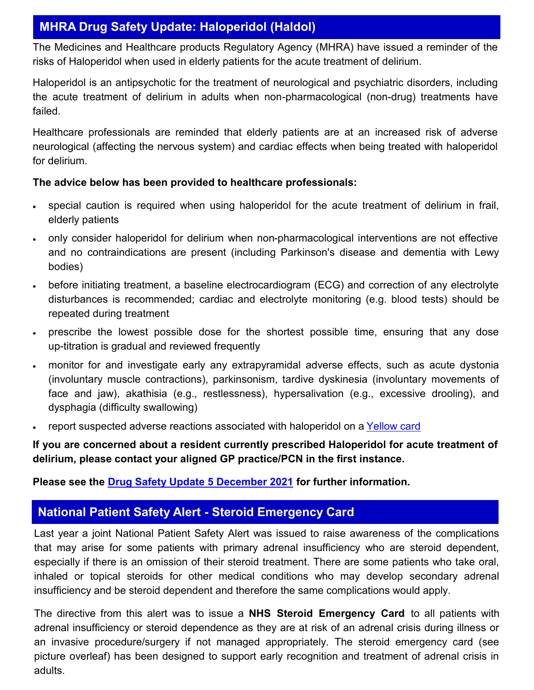# **MHRA Drug Safety Update: Haloperidol (Haldol)**

The Medicines and Healthcare products Regulatory Agency (MHRA) have issued a reminder of the risks of Haloperidol when used in elderly patients for the acute treatment of delirium.

Haloperidol is an antipsychotic for the treatment of neurological and psychiatric disorders, including the acute treatment of delirium in adults when non-pharmacological (non-drug) treatments have failed.

Healthcare professionals are reminded that elderly patients are at an increased risk of adverse neurological (affecting the nervous system) and cardiac effects when being treated with haloperidol for delirium.

#### **The advice below has been provided to healthcare professionals:**

- special caution is required when using haloperidol for the acute treatment of delirium in frail, elderly patients
- only consider haloperidol for delirium when non-pharmacological interventions are not effective and no contraindications are present (including Parkinson's disease and dementia with Lewy bodies)
- before initiating treatment, a baseline electrocardiogram (ECG) and correction of any electrolyte disturbances is recommended; cardiac and electrolyte monitoring (e.g. blood tests) should be repeated during treatment
- prescribe the lowest possible dose for the shortest possible time, ensuring that any dose up-titration is gradual and reviewed frequently
- monitor for and investigate early any extrapyramidal adverse effects, such as acute dystonia (involuntary muscle contractions), parkinsonism, tardive dyskinesia (involuntary movements of face and jaw), akathisia (e.g., restlessness), hypersalivation (e.g., excessive drooling), and dysphagia (difficulty swallowing)
- report suspected adverse reactions associated with haloperidol on a [Yellow card](https://yellowcard.mhra.gov.uk/)

**If you are concerned about a resident currently prescribed Haloperidol for acute treatment of delirium, please contact your aligned GP practice/PCN in the first instance.** 

#### **Please see the [Drug Safety Update 5 December 2021](https://assets.publishing.service.gov.uk/government/uploads/system/uploads/attachment_data/file/1042533/Dec-2021-DSU-PDF_V2_20_December_2021.pdf) for further information.**

# **National Patient Safety Alert - Steroid Emergency Card**

Last year a joint National Patient Safety Alert was issued to raise awareness of the complications that may arise for some patients with primary adrenal insufficiency who are steroid dependent, especially if there is an omission of their steroid treatment. There are some patients who take oral, inhaled or topical steroids for other medical conditions who may develop secondary adrenal insufficiency and be steroid dependent and therefore the same complications would apply.

The directive from this alert was to issue a **NHS Steroid Emergency Card** to all patients with adrenal insufficiency or steroid dependence as they are at risk of an adrenal crisis during illness or an invasive procedure/surgery if not managed appropriately. The steroid emergency card (see picture overleaf) has been designed to support early recognition and treatment of adrenal crisis in adults.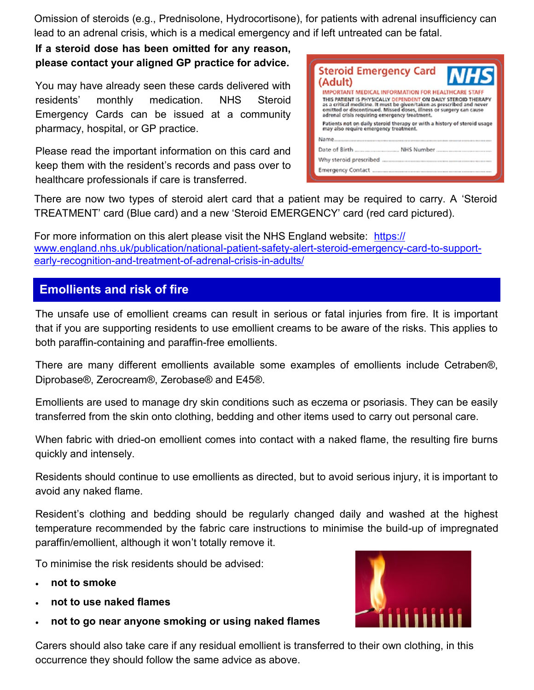Omission of steroids (e.g., Prednisolone, Hydrocortisone), for patients with adrenal insufficiency can lead to an adrenal crisis, which is a medical emergency and if left untreated can be fatal.

**If a steroid dose has been omitted for any reason, please contact your aligned GP practice for advice.** 

You may have already seen these cards delivered with residents' monthly medication. NHS Steroid Emergency Cards can be issued at a community pharmacy, hospital, or GP practice.

Please read the important information on this card and keep them with the resident's records and pass over to healthcare professionals if care is transferred.



There are now two types of steroid alert card that a patient may be required to carry. A 'Steroid TREATMENT' card (Blue card) and a new 'Steroid EMERGENCY' card (red card pictured).

For more information on this alert please visit the NHS England website: [https://](https://www.england.nhs.uk/publication/national-patient-safety-alert-steroid-emergency-card-to-support-early-recognition-and-treatment-of-adrenal-crisis-in-adults/) [www.england.nhs.uk/publication/national](https://www.england.nhs.uk/publication/national-patient-safety-alert-steroid-emergency-card-to-support-early-recognition-and-treatment-of-adrenal-crisis-in-adults/)-patient-safety-alert-steroid-emergency-card-to-supportearly-[recognition](https://www.england.nhs.uk/publication/national-patient-safety-alert-steroid-emergency-card-to-support-early-recognition-and-treatment-of-adrenal-crisis-in-adults/)-and-treatment-of-adrenal-crisis-in-adults/

## **Emollients and risk of fire**

The unsafe use of emollient creams can result in serious or fatal injuries from fire. It is important that if you are supporting residents to use emollient creams to be aware of the risks. This applies to both paraffin-containing and paraffin-free emollients.

There are many different emollients available some examples of emollients include Cetraben®, Diprobase®, Zerocream®, Zerobase® and E45®.

Emollients are used to manage dry skin conditions such as eczema or psoriasis. They can be easily transferred from the skin onto clothing, bedding and other items used to carry out personal care.

When fabric with dried-on emollient comes into contact with a naked flame, the resulting fire burns quickly and intensely.

Residents should continue to use emollients as directed, but to avoid serious injury, it is important to avoid any naked flame.

Resident's clothing and bedding should be regularly changed daily and washed at the highest temperature recommended by the fabric care instructions to minimise the build-up of impregnated paraffin/emollient, although it won't totally remove it.

To minimise the risk residents should be advised:

- **not to smoke**
- **not to use naked flames**
- **not to go near anyone smoking or using naked flames**

Carers should also take care if any residual emollient is transferred to their own clothing, in this occurrence they should follow the same advice as above.

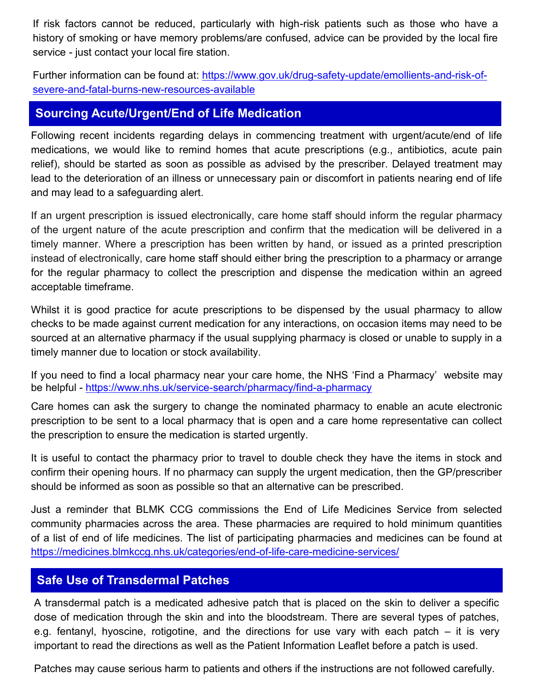If risk factors cannot be reduced, particularly with high-risk patients such as those who have a history of smoking or have memory problems/are confused, advice can be provided by the local fire service - just contact your local fire station.

Further information can be found at: [https://www.gov.uk/drug](https://www.gov.uk/drug-safety-update/emollients-and-risk-of-severe-and-fatal-burns-new-resources-available)-safety-update/emollients-and-risk-ofsevere-and-fatal-burns-new-[resources](https://www.gov.uk/drug-safety-update/emollients-and-risk-of-severe-and-fatal-burns-new-resources-available)-available

## **Sourcing Acute/Urgent/End of Life Medication**

Following recent incidents regarding delays in commencing treatment with urgent/acute/end of life medications, we would like to remind homes that acute prescriptions (e.g., antibiotics, acute pain relief), should be started as soon as possible as advised by the prescriber. Delayed treatment may lead to the deterioration of an illness or unnecessary pain or discomfort in patients nearing end of life and may lead to a safeguarding alert.

If an urgent prescription is issued electronically, care home staff should inform the regular pharmacy of the urgent nature of the acute prescription and confirm that the medication will be delivered in a timely manner. Where a prescription has been written by hand, or issued as a printed prescription instead of electronically, care home staff should either bring the prescription to a pharmacy or arrange for the regular pharmacy to collect the prescription and dispense the medication within an agreed acceptable timeframe.

Whilst it is good practice for acute prescriptions to be dispensed by the usual pharmacy to allow checks to be made against current medication for any interactions, on occasion items may need to be sourced at an alternative pharmacy if the usual supplying pharmacy is closed or unable to supply in a timely manner due to location or stock availability.

If you need to find a local pharmacy near your care home, the NHS 'Find a Pharmacy' website may be helpful - [https://www.nhs.uk/service](https://www.nhs.uk/service-search/pharmacy/find-a-pharmacy)-search/pharmacy/find-a-pharmacy

Care homes can ask the surgery to change the nominated pharmacy to enable an acute electronic prescription to be sent to a local pharmacy that is open and a care home representative can collect the prescription to ensure the medication is started urgently.

It is useful to contact the pharmacy prior to travel to double check they have the items in stock and confirm their opening hours. If no pharmacy can supply the urgent medication, then the GP/prescriber should be informed as soon as possible so that an alternative can be prescribed.

Just a reminder that BLMK CCG commissions the End of Life Medicines Service from selected community pharmacies across the area. These pharmacies are required to hold minimum quantities of a list of end of life medicines. The list of participating pharmacies and medicines can be found at [https://medicines.blmkccg.nhs.uk/categories/end](https://medicines.blmkccg.nhs.uk/categories/end-of-life-care-medicine-services/)-of-life-care-medicine-services/

## **Safe Use of Transdermal Patches**

A transdermal patch is a medicated adhesive patch that is placed on the skin to deliver a specific dose of medication through the skin and into the bloodstream. There are several types of patches, e.g. fentanyl, hyoscine, rotigotine, and the directions for use vary with each patch – it is very important to read the directions as well as the Patient Information Leaflet before a patch is used.

Patches may cause serious harm to patients and others if the instructions are not followed carefully.